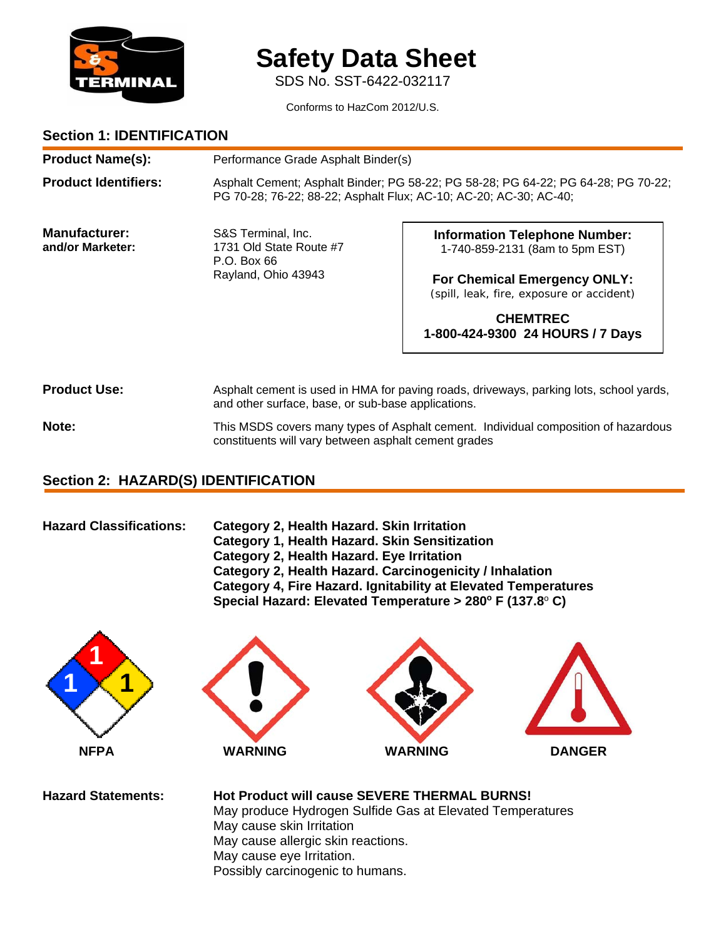

# **Safety Data Sheet**

SDS No. SST-6422-032117

Conforms to HazCom 2012/U.S.

### **Section 1: IDENTIFICATION**

| <b>Product Name(s):</b>           |                                                                                     | Performance Grade Asphalt Binder(s)                                                                                                                    |  |
|-----------------------------------|-------------------------------------------------------------------------------------|--------------------------------------------------------------------------------------------------------------------------------------------------------|--|
| <b>Product Identifiers:</b>       |                                                                                     | Asphalt Cement; Asphalt Binder; PG 58-22; PG 58-28; PG 64-22; PG 64-28; PG 70-22;<br>PG 70-28; 76-22; 88-22; Asphalt Flux; AC-10; AC-20; AC-30; AC-40; |  |
| Manufacturer:<br>and/or Marketer: | S&S Terminal, Inc.<br>1731 Old State Route #7<br>P.O. Box 66<br>Rayland, Ohio 43943 | <b>Information Telephone Number:</b><br>1-740-859-2131 (8am to 5pm EST)<br>For Chemical Emergency ONLY:<br>(spill, leak, fire, exposure or accident)   |  |
|                                   |                                                                                     | <b>CHEMTREC</b><br>1-800-424-9300 24 HOURS / 7 Days                                                                                                    |  |

**Product Use:** Asphalt cement is used in HMA for paving roads, driveways, parking lots, school yards, and other surface, base, or sub-base applications.

Note: This MSDS covers many types of Asphalt cement. Individual composition of hazardous constituents will vary between asphalt cement grades

### **Section 2: HAZARD(S) IDENTIFICATION**

| <b>Hazard Classifications:</b> | Category 2, Health Hazard. Skin Irritation                             |
|--------------------------------|------------------------------------------------------------------------|
|                                | Category 1, Health Hazard. Skin Sensitization                          |
|                                | Category 2, Health Hazard. Eye Irritation                              |
|                                | Category 2, Health Hazard. Carcinogenicity / Inhalation                |
|                                | Category 4, Fire Hazard. Ignitability at Elevated Temperatures         |
|                                | Special Hazard: Elevated Temperature > $280^\circ$ F (137.8 $\circ$ C) |
|                                |                                                                        |







**Hazard Statements: Hot Product will cause SEVERE THERMAL BURNS!** May produce Hydrogen Sulfide Gas at Elevated Temperatures May cause skin Irritation May cause allergic skin reactions. May cause eye Irritation. Possibly carcinogenic to humans.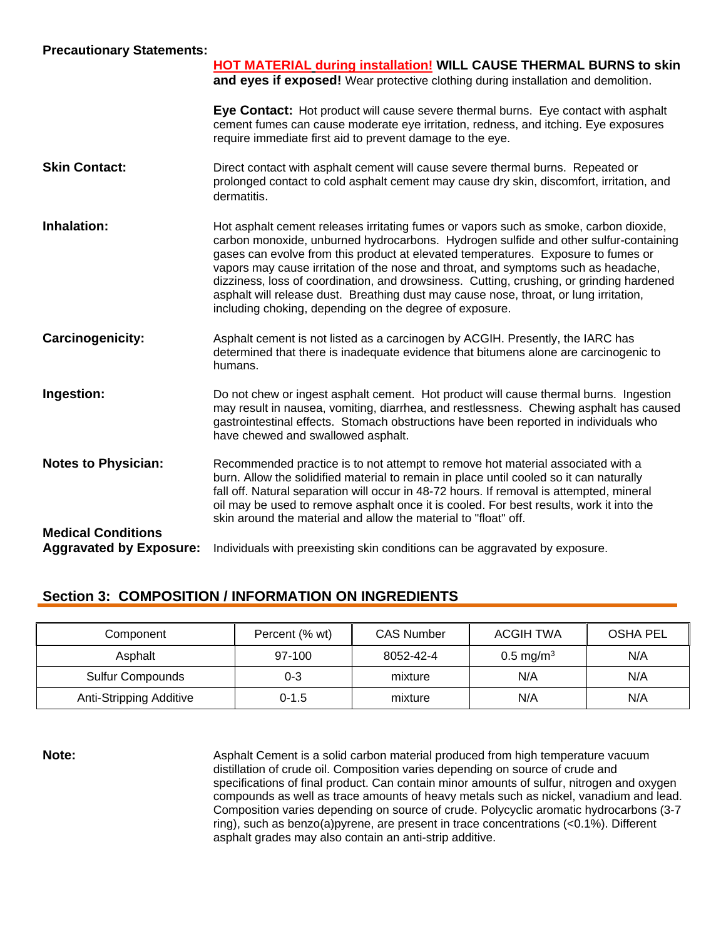| <b>Precautionary Statements:</b> |  |
|----------------------------------|--|
|----------------------------------|--|

|                                | <b>HOT MATERIAL during installation! WILL CAUSE THERMAL BURNS to skin</b><br>and eyes if exposed! Wear protective clothing during installation and demolition.                                                                                                                                                                                                                                                                                                                                                                                                                                           |
|--------------------------------|----------------------------------------------------------------------------------------------------------------------------------------------------------------------------------------------------------------------------------------------------------------------------------------------------------------------------------------------------------------------------------------------------------------------------------------------------------------------------------------------------------------------------------------------------------------------------------------------------------|
|                                | Eye Contact: Hot product will cause severe thermal burns. Eye contact with asphalt<br>cement fumes can cause moderate eye irritation, redness, and itching. Eye exposures<br>require immediate first aid to prevent damage to the eye.                                                                                                                                                                                                                                                                                                                                                                   |
| <b>Skin Contact:</b>           | Direct contact with asphalt cement will cause severe thermal burns. Repeated or<br>prolonged contact to cold asphalt cement may cause dry skin, discomfort, irritation, and<br>dermatitis.                                                                                                                                                                                                                                                                                                                                                                                                               |
| <b>Inhalation:</b>             | Hot asphalt cement releases irritating fumes or vapors such as smoke, carbon dioxide,<br>carbon monoxide, unburned hydrocarbons. Hydrogen sulfide and other sulfur-containing<br>gases can evolve from this product at elevated temperatures. Exposure to fumes or<br>vapors may cause irritation of the nose and throat, and symptoms such as headache,<br>dizziness, loss of coordination, and drowsiness. Cutting, crushing, or grinding hardened<br>asphalt will release dust. Breathing dust may cause nose, throat, or lung irritation,<br>including choking, depending on the degree of exposure. |
| Carcinogenicity:               | Asphalt cement is not listed as a carcinogen by ACGIH. Presently, the IARC has<br>determined that there is inadequate evidence that bitumens alone are carcinogenic to<br>humans.                                                                                                                                                                                                                                                                                                                                                                                                                        |
| Ingestion:                     | Do not chew or ingest asphalt cement. Hot product will cause thermal burns. Ingestion<br>may result in nausea, vomiting, diarrhea, and restlessness. Chewing asphalt has caused<br>gastrointestinal effects. Stomach obstructions have been reported in individuals who<br>have chewed and swallowed asphalt.                                                                                                                                                                                                                                                                                            |
| <b>Notes to Physician:</b>     | Recommended practice is to not attempt to remove hot material associated with a<br>burn. Allow the solidified material to remain in place until cooled so it can naturally<br>fall off. Natural separation will occur in 48-72 hours. If removal is attempted, mineral<br>oil may be used to remove asphalt once it is cooled. For best results, work it into the<br>skin around the material and allow the material to "float" off.                                                                                                                                                                     |
| <b>Medical Conditions</b>      |                                                                                                                                                                                                                                                                                                                                                                                                                                                                                                                                                                                                          |
| <b>Aggravated by Exposure:</b> | Individuals with preexisting skin conditions can be aggravated by exposure.                                                                                                                                                                                                                                                                                                                                                                                                                                                                                                                              |

## **Section 3: COMPOSITION / INFORMATION ON INGREDIENTS**

| Component               | Percent (% wt) | <b>CAS Number</b> | ACGIH TWA               | OSHA PEL |
|-------------------------|----------------|-------------------|-------------------------|----------|
| Asphalt                 | 97-100         | 8052-42-4         | $0.5 \,\mathrm{mg/m^3}$ | N/A      |
| <b>Sulfur Compounds</b> | 0-3            | mixture           | N/A                     | N/A      |
| Anti-Stripping Additive | $0 - 1.5$      | mixture           | N/A                     | N/A      |

**Note:** Asphalt Cement is a solid carbon material produced from high temperature vacuum distillation of crude oil. Composition varies depending on source of crude and specifications of final product. Can contain minor amounts of sulfur, nitrogen and oxygen compounds as well as trace amounts of heavy metals such as nickel, vanadium and lead. Composition varies depending on source of crude. Polycyclic aromatic hydrocarbons (3-7 ring), such as benzo(a)pyrene, are present in trace concentrations (<0.1%). Different asphalt grades may also contain an anti-strip additive.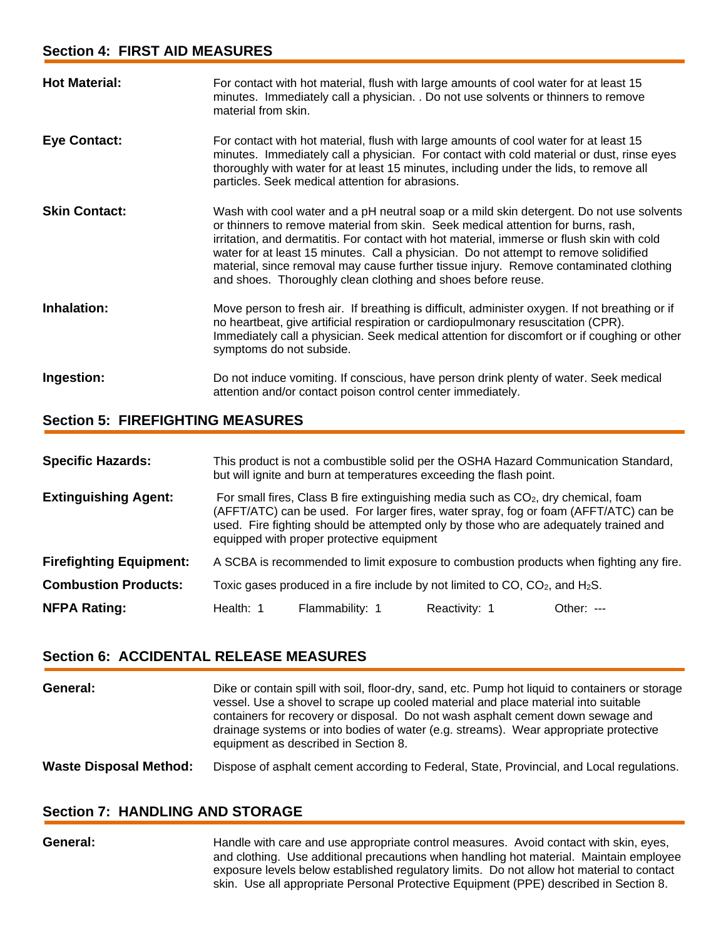| <b>Hot Material:</b> | For contact with hot material, flush with large amounts of cool water for at least 15<br>minutes. Immediately call a physician. . Do not use solvents or thinners to remove<br>material from skin.                                                                                                                                                                                                                                                                                                                           |
|----------------------|------------------------------------------------------------------------------------------------------------------------------------------------------------------------------------------------------------------------------------------------------------------------------------------------------------------------------------------------------------------------------------------------------------------------------------------------------------------------------------------------------------------------------|
| <b>Eye Contact:</b>  | For contact with hot material, flush with large amounts of cool water for at least 15<br>minutes. Immediately call a physician. For contact with cold material or dust, rinse eyes<br>thoroughly with water for at least 15 minutes, including under the lids, to remove all<br>particles. Seek medical attention for abrasions.                                                                                                                                                                                             |
| <b>Skin Contact:</b> | Wash with cool water and a pH neutral soap or a mild skin detergent. Do not use solvents<br>or thinners to remove material from skin. Seek medical attention for burns, rash,<br>irritation, and dermatitis. For contact with hot material, immerse or flush skin with cold<br>water for at least 15 minutes. Call a physician. Do not attempt to remove solidified<br>material, since removal may cause further tissue injury. Remove contaminated clothing<br>and shoes. Thoroughly clean clothing and shoes before reuse. |
| Inhalation:          | Move person to fresh air. If breathing is difficult, administer oxygen. If not breathing or if<br>no heartbeat, give artificial respiration or cardiopulmonary resuscitation (CPR).<br>Immediately call a physician. Seek medical attention for discomfort or if coughing or other<br>symptoms do not subside.                                                                                                                                                                                                               |
| Ingestion:           | Do not induce vomiting. If conscious, have person drink plenty of water. Seek medical<br>attention and/or contact poison control center immediately.                                                                                                                                                                                                                                                                                                                                                                         |

### **Section 5: FIREFIGHTING MEASURES**

| <b>Specific Hazards:</b>       | This product is not a combustible solid per the OSHA Hazard Communication Standard,<br>but will ignite and burn at temperatures exceeding the flash point.                                                                                                                                                                  |                 |               |              |
|--------------------------------|-----------------------------------------------------------------------------------------------------------------------------------------------------------------------------------------------------------------------------------------------------------------------------------------------------------------------------|-----------------|---------------|--------------|
| <b>Extinguishing Agent:</b>    | For small fires, Class B fire extinguishing media such as CO <sub>2</sub> , dry chemical, foam<br>(AFFT/ATC) can be used. For larger fires, water spray, fog or foam (AFFT/ATC) can be<br>used. Fire fighting should be attempted only by those who are adequately trained and<br>equipped with proper protective equipment |                 |               |              |
| <b>Firefighting Equipment:</b> | A SCBA is recommended to limit exposure to combustion products when fighting any fire.                                                                                                                                                                                                                                      |                 |               |              |
| <b>Combustion Products:</b>    | Toxic gases produced in a fire include by not limited to CO, $CO2$ , and H <sub>2</sub> S.                                                                                                                                                                                                                                  |                 |               |              |
| <b>NFPA Rating:</b>            | Health: 1                                                                                                                                                                                                                                                                                                                   | Flammability: 1 | Reactivity: 1 | Other: $---$ |

### **Section 6: ACCIDENTAL RELEASE MEASURES**

| General:                      | Dike or contain spill with soil, floor-dry, sand, etc. Pump hot liquid to containers or storage<br>vessel. Use a shovel to scrape up cooled material and place material into suitable<br>containers for recovery or disposal. Do not wash asphalt cement down sewage and<br>drainage systems or into bodies of water (e.g. streams). Wear appropriate protective<br>equipment as described in Section 8. |
|-------------------------------|----------------------------------------------------------------------------------------------------------------------------------------------------------------------------------------------------------------------------------------------------------------------------------------------------------------------------------------------------------------------------------------------------------|
| <b>Waste Disposal Method:</b> | Dispose of asphalt cement according to Federal, State, Provincial, and Local regulations.                                                                                                                                                                                                                                                                                                                |

### **Section 7: HANDLING AND STORAGE**

General: Handle with care and use appropriate control measures. Avoid contact with skin, eyes, and clothing. Use additional precautions when handling hot material. Maintain employee exposure levels below established regulatory limits. Do not allow hot material to contact skin. Use all appropriate Personal Protective Equipment (PPE) described in Section 8.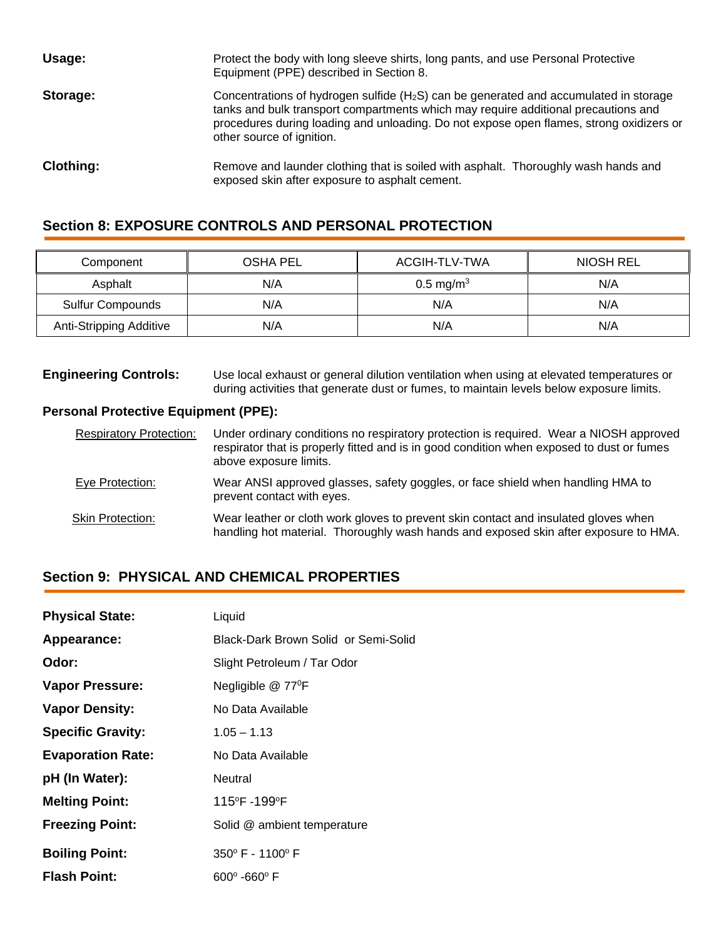| Usage:           | Protect the body with long sleeve shirts, long pants, and use Personal Protective<br>Equipment (PPE) described in Section 8.                                                                                                                                                                                    |
|------------------|-----------------------------------------------------------------------------------------------------------------------------------------------------------------------------------------------------------------------------------------------------------------------------------------------------------------|
| Storage:         | Concentrations of hydrogen sulfide (H <sub>2</sub> S) can be generated and accumulated in storage<br>tanks and bulk transport compartments which may require additional precautions and<br>procedures during loading and unloading. Do not expose open flames, strong oxidizers or<br>other source of ignition. |
| <b>Clothing:</b> | Remove and launder clothing that is soiled with asphalt. Thoroughly wash hands and<br>exposed skin after exposure to asphalt cement.                                                                                                                                                                            |

### **Section 8: EXPOSURE CONTROLS AND PERSONAL PROTECTION**

| Component               | OSHA PEL | ACGIH-TLV-TWA           | NIOSH REL |
|-------------------------|----------|-------------------------|-----------|
| Asphalt                 | N/A      | $0.5 \,\mathrm{mg/m^3}$ | N/A       |
| <b>Sulfur Compounds</b> | N/A      | N/A                     | N/A       |
| Anti-Stripping Additive | N/A      | N/A                     | N/A       |

**Engineering Controls:** Use local exhaust or general dilution ventilation when using at elevated temperatures or during activities that generate dust or fumes, to maintain levels below exposure limits.

#### **Personal Protective Equipment (PPE):**

| <b>Respiratory Protection:</b> | Under ordinary conditions no respiratory protection is required. Wear a NIOSH approved<br>respirator that is properly fitted and is in good condition when exposed to dust or fumes<br>above exposure limits. |
|--------------------------------|---------------------------------------------------------------------------------------------------------------------------------------------------------------------------------------------------------------|
| Eye Protection:                | Wear ANSI approved glasses, safety goggles, or face shield when handling HMA to<br>prevent contact with eyes.                                                                                                 |
| <b>Skin Protection:</b>        | Wear leather or cloth work gloves to prevent skin contact and insulated gloves when<br>handling hot material. Thoroughly wash hands and exposed skin after exposure to HMA.                                   |

### **Section 9: PHYSICAL AND CHEMICAL PROPERTIES**

| <b>Physical State:</b>   | Liquid                               |
|--------------------------|--------------------------------------|
| Appearance:              | Black-Dark Brown Solid or Semi-Solid |
| Odor:                    | Slight Petroleum / Tar Odor          |
| <b>Vapor Pressure:</b>   | Negligible @ 77 <sup>°</sup> F       |
| <b>Vapor Density:</b>    | No Data Available                    |
| <b>Specific Gravity:</b> | $1.05 - 1.13$                        |
| <b>Evaporation Rate:</b> | No Data Available                    |
| pH (In Water):           | Neutral                              |
| <b>Melting Point:</b>    | 115°F -199°F                         |
| <b>Freezing Point:</b>   | Solid @ ambient temperature          |
| <b>Boiling Point:</b>    | 350° F - 1100° F                     |
| <b>Flash Point:</b>      | $600^{\circ}$ -660 $^{\circ}$ F      |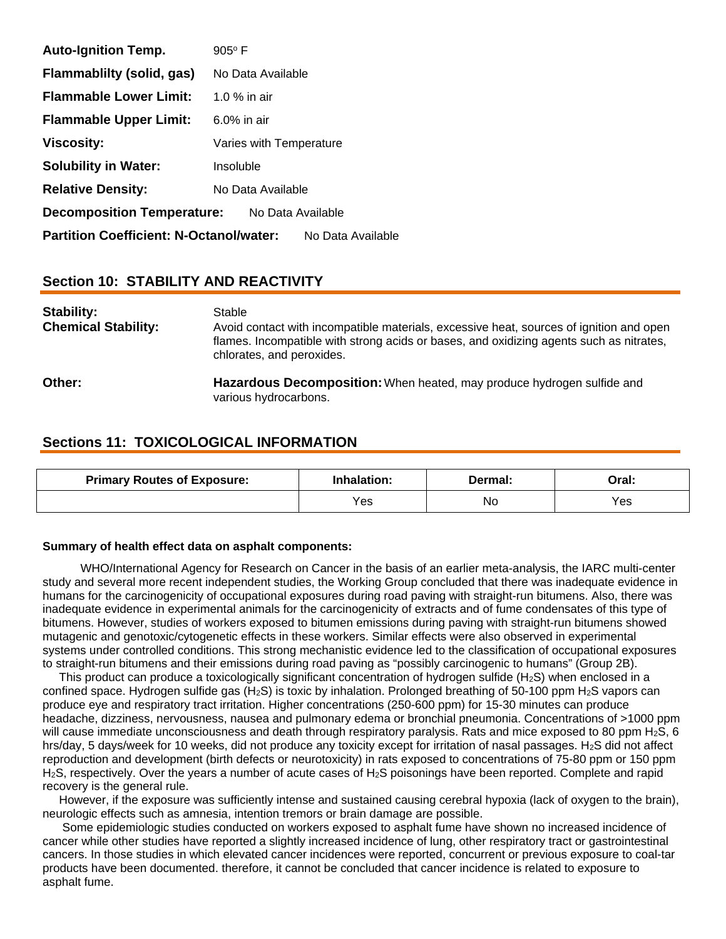| <b>Auto-Ignition Temp.</b>                                          | $905^{\circ}$ F         |  |  |  |
|---------------------------------------------------------------------|-------------------------|--|--|--|
| Flammablilty (solid, gas)                                           | No Data Available       |  |  |  |
| <b>Flammable Lower Limit:</b>                                       | 1.0 $%$ in air          |  |  |  |
| <b>Flammable Upper Limit:</b>                                       | $6.0\%$ in air          |  |  |  |
| <b>Viscosity:</b>                                                   | Varies with Temperature |  |  |  |
| <b>Solubility in Water:</b>                                         | Insoluble               |  |  |  |
| <b>Relative Density:</b>                                            | No Data Available       |  |  |  |
| <b>Decomposition Temperature:</b><br>No Data Available              |                         |  |  |  |
| <b>Partition Coefficient: N-Octanol/water:</b><br>No Data Available |                         |  |  |  |

### **Section 10: STABILITY AND REACTIVITY**

| Stability:<br><b>Chemical Stability:</b> | Stable<br>Avoid contact with incompatible materials, excessive heat, sources of ignition and open<br>flames. Incompatible with strong acids or bases, and oxidizing agents such as nitrates,<br>chlorates, and peroxides. |
|------------------------------------------|---------------------------------------------------------------------------------------------------------------------------------------------------------------------------------------------------------------------------|
| Other:                                   | <b>Hazardous Decomposition:</b> When heated, may produce hydrogen sulfide and<br>various hydrocarbons.                                                                                                                    |

### **Sections 11: TOXICOLOGICAL INFORMATION**

| <b>Primary Routes of Exposure:</b> | <b>Inhalation:</b> | Dermal: | Oral: |
|------------------------------------|--------------------|---------|-------|
|                                    | ∨es∶               | No      | Yes   |

#### **Summary of health effect data on asphalt components:**

 WHO/International Agency for Research on Cancer in the basis of an earlier meta-analysis, the IARC multi-center study and several more recent independent studies, the Working Group concluded that there was inadequate evidence in humans for the carcinogenicity of occupational exposures during road paving with straight-run bitumens. Also, there was inadequate evidence in experimental animals for the carcinogenicity of extracts and of fume condensates of this type of bitumens. However, studies of workers exposed to bitumen emissions during paving with straight-run bitumens showed mutagenic and genotoxic/cytogenetic effects in these workers. Similar effects were also observed in experimental systems under controlled conditions. This strong mechanistic evidence led to the classification of occupational exposures to straight-run bitumens and their emissions during road paving as "possibly carcinogenic to humans" (Group 2B).

This product can produce a toxicologically significant concentration of hydrogen sulfide (H<sub>2</sub>S) when enclosed in a confined space. Hydrogen sulfide gas (H<sub>2</sub>S) is toxic by inhalation. Prolonged breathing of 50-100 ppm H<sub>2</sub>S vapors can produce eye and respiratory tract irritation. Higher concentrations (250-600 ppm) for 15-30 minutes can produce headache, dizziness, nervousness, nausea and pulmonary edema or bronchial pneumonia. Concentrations of >1000 ppm will cause immediate unconsciousness and death through respiratory paralysis. Rats and mice exposed to 80 ppm H<sub>2</sub>S, 6 hrs/day, 5 days/week for 10 weeks, did not produce any toxicity except for irritation of nasal passages. H<sub>2</sub>S did not affect reproduction and development (birth defects or neurotoxicity) in rats exposed to concentrations of 75-80 ppm or 150 ppm H2S, respectively. Over the years a number of acute cases of H2S poisonings have been reported. Complete and rapid recovery is the general rule.

 However, if the exposure was sufficiently intense and sustained causing cerebral hypoxia (lack of oxygen to the brain), neurologic effects such as amnesia, intention tremors or brain damage are possible.

 Some epidemiologic studies conducted on workers exposed to asphalt fume have shown no increased incidence of cancer while other studies have reported a slightly increased incidence of lung, other respiratory tract or gastrointestinal cancers. In those studies in which elevated cancer incidences were reported, concurrent or previous exposure to coal-tar products have been documented. therefore, it cannot be concluded that cancer incidence is related to exposure to asphalt fume.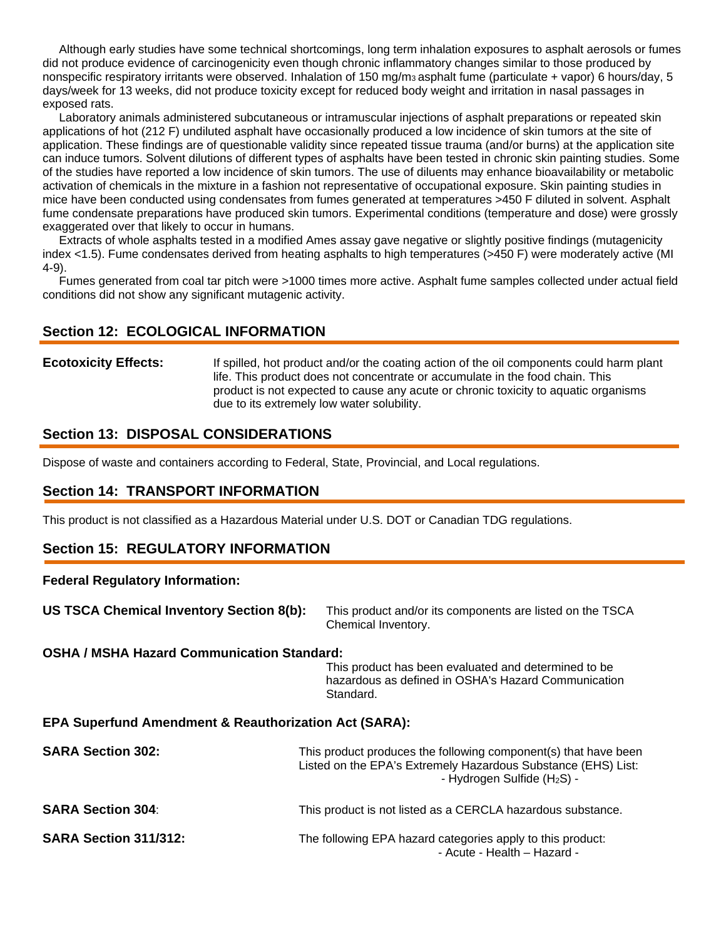Although early studies have some technical shortcomings, long term inhalation exposures to asphalt aerosols or fumes did not produce evidence of carcinogenicity even though chronic inflammatory changes similar to those produced by nonspecific respiratory irritants were observed. Inhalation of 150 mg/m3 asphalt fume (particulate + vapor) 6 hours/day, 5 days/week for 13 weeks, did not produce toxicity except for reduced body weight and irritation in nasal passages in exposed rats.

 Laboratory animals administered subcutaneous or intramuscular injections of asphalt preparations or repeated skin applications of hot (212 F) undiluted asphalt have occasionally produced a low incidence of skin tumors at the site of application. These findings are of questionable validity since repeated tissue trauma (and/or burns) at the application site can induce tumors. Solvent dilutions of different types of asphalts have been tested in chronic skin painting studies. Some of the studies have reported a low incidence of skin tumors. The use of diluents may enhance bioavailability or metabolic activation of chemicals in the mixture in a fashion not representative of occupational exposure. Skin painting studies in mice have been conducted using condensates from fumes generated at temperatures >450 F diluted in solvent. Asphalt fume condensate preparations have produced skin tumors. Experimental conditions (temperature and dose) were grossly exaggerated over that likely to occur in humans.

 Extracts of whole asphalts tested in a modified Ames assay gave negative or slightly positive findings (mutagenicity index <1.5). Fume condensates derived from heating asphalts to high temperatures (>450 F) were moderately active (MI 4-9).

 Fumes generated from coal tar pitch were >1000 times more active. Asphalt fume samples collected under actual field conditions did not show any significant mutagenic activity.

#### **Section 12: ECOLOGICAL INFORMATION**

#### **Ecotoxicity Effects:** If spilled, hot product and/or the coating action of the oil components could harm plant life. This product does not concentrate or accumulate in the food chain. This product is not expected to cause any acute or chronic toxicity to aquatic organisms due to its extremely low water solubility.

#### **Section 13: DISPOSAL CONSIDERATIONS**

Dispose of waste and containers according to Federal, State, Provincial, and Local regulations.

#### **Section 14: TRANSPORT INFORMATION**

This product is not classified as a Hazardous Material under U.S. DOT or Canadian TDG regulations.

### **Section 15: REGULATORY INFORMATION**

#### **Federal Regulatory Information:**

**US TSCA Chemical Inventory Section 8(b):** This product and/or its components are listed on the TSCA Chemical Inventory.

#### **OSHA / MSHA Hazard Communication Standard:**

 This product has been evaluated and determined to be hazardous as defined in OSHA's Hazard Communication Standard.

#### **EPA Superfund Amendment & Reauthorization Act (SARA):**

| <b>SARA Section 302:</b>     | This product produces the following component(s) that have been<br>Listed on the EPA's Extremely Hazardous Substance (EHS) List:<br>- Hydrogen Sulfide (H <sub>2</sub> S) - |
|------------------------------|-----------------------------------------------------------------------------------------------------------------------------------------------------------------------------|
| <b>SARA Section 304:</b>     | This product is not listed as a CERCLA hazardous substance.                                                                                                                 |
| <b>SARA Section 311/312:</b> | The following EPA hazard categories apply to this product:<br>- Acute - Health - Hazard -                                                                                   |